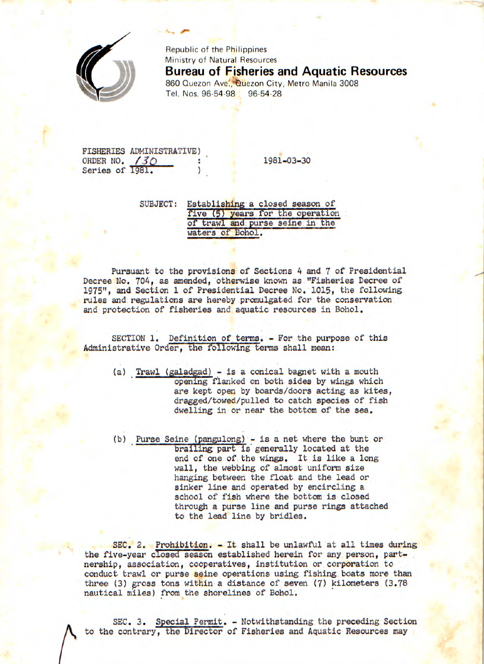

Republic of the Philippines Ministry of Natural Resources **Bureau of Fisheries and Aquatic Resources**  860 Quezon Ave., Quezon City, Metro Manila 3008 Tel. Nos. 96-54-98 96-54-28

FISHERIES ADMINISTRATIVE) ORDER NO.  $\frac{30}{1981}$  : 1981-03-30<br>Series of 1981. Series of 1981.

SUBJECT: Establishing a closed season of five (5) years for the operation of trawl and purse seine in the waters of Bohol.

Pursuant to the provisions of Sections 4 and 7 of Presidential Decree No. 704, as amended, otherwise known as "Fisheries Decree of 1975", and Section 1 of Presidential Decree No. 1015, the following rules and regulations are hereby promulgated for the conservation and protection of fisheries and aquatic resources in Bohol.

SECTION 1. Definition of terms. - For the purpose of this Administrative Order, the following terms shall mean:

- (a) Trawl (galadgad) is a conical bagnet with a mouth opening flanked on both sides by wings which are kept open by boards/doors acting as kites, dragged/towed/pulled to catch species of fish dwelling in or near the bottom of the sea.
- (b) Purse Seine (pangulong) is a net where the bunt or brailing part is generally located at the end of one of the wings. It is like a long wall, the webbing of almost uniform size hanging between the float and the lead or sinker line and operated by encircling a school of fish where the bottom is closed through a purse line and purse rings attached to the lead line by bridles.

SEC. 2. Prohibition. - It shall be unlawful at all times during the five-year closed season established herein for any person, partnership, association, cooperatives, institution or corporation to conduct trawl or purse seine operations using fishing boats more than three (3) gross tons within a distance of seven (7) kilometers (3.78 nautical miles) from the shorelines of Bohol.

SEC. 3. Special Permit. - Notwithstanding the preceding Section to the contrary, the Director of Fisheries and Aquatic Resources may